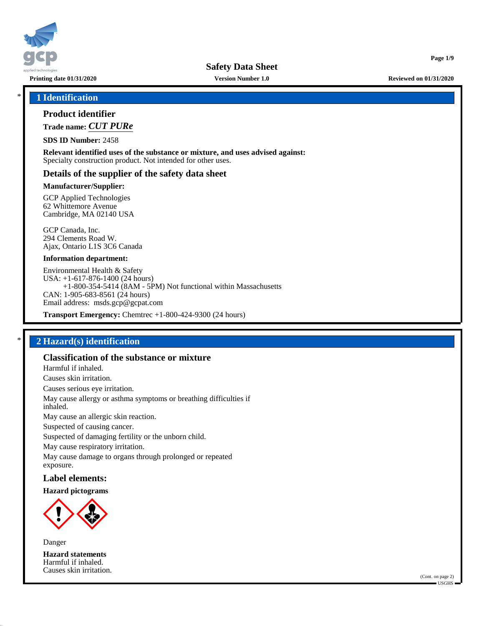

**Safety Data Sheet**

**Printing date 01/31/2020 Version Number 1.0 Reviewed on 01/31/2020**

**Page 1/9**

### \* **1 Identification**

### **Product identifier**

**Trade name:** *CUT PURe*

**SDS ID Number:** 2458

**Relevant identified uses of the substance or mixture, and uses advised against:** Specialty construction product. Not intended for other uses.

### **Details of the supplier of the safety data sheet**

### **Manufacturer/Supplier:**

GCP Applied Technologies 62 Whittemore Avenue Cambridge, MA 02140 USA

GCP Canada, Inc. 294 Clements Road W. Ajax, Ontario L1S 3C6 Canada

### **Information department:**

Environmental Health & Safety USA: +1-617-876-1400 (24 hours) +1-800-354-5414 (8AM - 5PM) Not functional within Massachusetts CAN: 1-905-683-8561 (24 hours) Email address: msds.gcp@gcpat.com

**Transport Emergency:** Chemtrec +1-800-424-9300 (24 hours)

## \* **2 Hazard(s) identification**

## **Classification of the substance or mixture**

Harmful if inhaled.

Causes skin irritation.

Causes serious eye irritation.

May cause allergy or asthma symptoms or breathing difficulties if inhaled.

May cause an allergic skin reaction.

Suspected of causing cancer.

Suspected of damaging fertility or the unborn child.

May cause respiratory irritation.

May cause damage to organs through prolonged or repeated exposure.

## **Label elements:**

### **Hazard pictograms**



Danger

50.0.11

**Hazard statements** Harmful if inhaled. Causes skin irritation.

(Cont. on page 2)  $\blacksquare$  USGHS  $\blacksquare$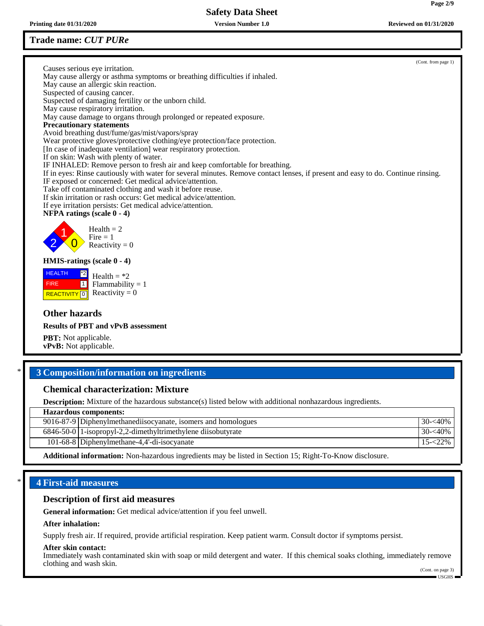## **Trade name:** *CUT PURe*

(Cont. from page 1) Causes serious eye irritation. May cause allergy or asthma symptoms or breathing difficulties if inhaled. May cause an allergic skin reaction. Suspected of causing cancer. Suspected of damaging fertility or the unborn child. May cause respiratory irritation. May cause damage to organs through prolonged or repeated exposure. **Precautionary statements** Avoid breathing dust/fume/gas/mist/vapors/spray Wear protective gloves/protective clothing/eye protection/face protection. [In case of inadequate ventilation] wear respiratory protection. If on skin: Wash with plenty of water. IF INHALED: Remove person to fresh air and keep comfortable for breathing. If in eyes: Rinse cautiously with water for several minutes. Remove contact lenses, if present and easy to do. Continue rinsing. IF exposed or concerned: Get medical advice/attention. Take off contaminated clothing and wash it before reuse. If skin irritation or rash occurs: Get medical advice/attention. If eye irritation persists: Get medical advice/attention. **NFPA ratings (scale 0 - 4)** 2 1  $\overline{\mathbf{0}}$  $Health = 2$  $Fire = 1$ Reactivity  $= 0$ **HMIS-ratings (scale 0 - 4) HEALTH**  FIRE **REACTIVITY** 0 \*2  $\boxed{1}$ Health  $= *2$  $Flammability = 1$ Reactivity  $= 0$ **Other hazards Results of PBT and vPvB assessment**

**PBT:** Not applicable. **vPvB:** Not applicable.

# \* **3 Composition/information on ingredients**

## **Chemical characterization: Mixture**

**Description:** Mixture of the hazardous substance(s) listed below with additional nonhazardous ingredients.

| <b>Hazardous components:</b> |                                                                  |              |  |
|------------------------------|------------------------------------------------------------------|--------------|--|
|                              | 9016-87-9 Diphenylmethanediisocyanate, isomers and homologues    | $30 - 40\%$  |  |
|                              | $6846-50-0$   1-isopropyl-2,2-dimethyltrimethylene diisobutyrate | $130 - 40\%$ |  |
|                              | 101-68-8 Diphenylmethane-4,4'-di-isocyanate                      | $15 - 22\%$  |  |
|                              |                                                                  |              |  |

**Additional information:** Non-hazardous ingredients may be listed in Section 15; Right-To-Know disclosure.

## \* **4 First-aid measures**

### **Description of first aid measures**

**General information:** Get medical advice/attention if you feel unwell.

## **After inhalation:**

Supply fresh air. If required, provide artificial respiration. Keep patient warm. Consult doctor if symptoms persist.

## **After skin contact:**

50.0.11

Immediately wash contaminated skin with soap or mild detergent and water. If this chemical soaks clothing, immediately remove clothing and wash skin. (Cont. on page 3)

**Printing date 01/31/2020 Version Number 1.0 Reviewed on 01/31/2020**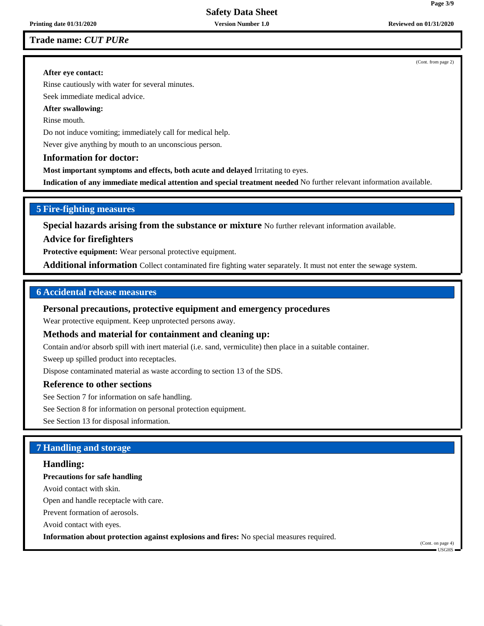# **Safety Data Sheet**

## **Trade name:** *CUT PURe*

(Cont. from page 2)

**Page 3/9**

### **After eye contact:**

Rinse cautiously with water for several minutes.

Seek immediate medical advice.

## **After swallowing:**

Rinse mouth.

Do not induce vomiting; immediately call for medical help.

Never give anything by mouth to an unconscious person.

### **Information for doctor:**

**Most important symptoms and effects, both acute and delayed** Irritating to eyes.

**Indication of any immediate medical attention and special treatment needed** No further relevant information available.

## **5 Fire-fighting measures**

**Special hazards arising from the substance or mixture** No further relevant information available.

### **Advice for firefighters**

**Protective equipment:** Wear personal protective equipment.

**Additional information** Collect contaminated fire fighting water separately. It must not enter the sewage system.

## **6 Accidental release measures**

### **Personal precautions, protective equipment and emergency procedures**

Wear protective equipment. Keep unprotected persons away.

## **Methods and material for containment and cleaning up:**

Contain and/or absorb spill with inert material (i.e. sand, vermiculite) then place in a suitable container.

Sweep up spilled product into receptacles.

Dispose contaminated material as waste according to section 13 of the SDS.

## **Reference to other sections**

See Section 7 for information on safe handling.

See Section 8 for information on personal protection equipment.

See Section 13 for disposal information.

## **7 Handling and storage**

### **Handling:**

50.0.11

### **Precautions for safe handling**

Avoid contact with skin.

Open and handle receptacle with care.

Prevent formation of aerosols.

Avoid contact with eyes.

**Information about protection against explosions and fires:** No special measures required.

(Cont. on page 4) USGHS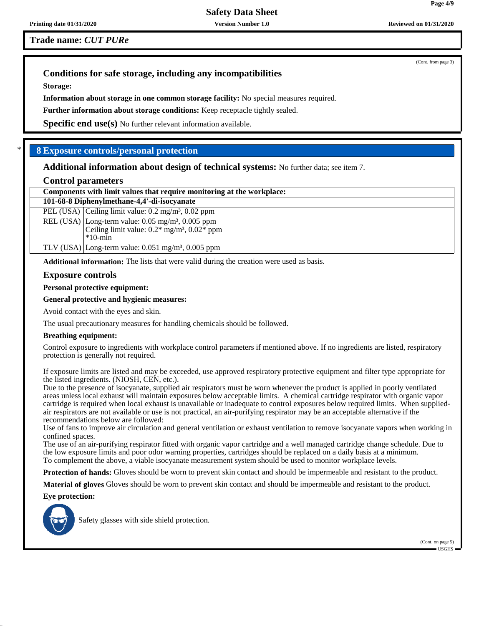# **Safety Data Sheet**

**Trade name:** *CUT PURe*

(Cont. from page 3)

**Page 4/9**

## **Conditions for safe storage, including any incompatibilities**

**Storage:**

**Information about storage in one common storage facility:** No special measures required.

**Further information about storage conditions:** Keep receptacle tightly sealed.

**Specific end use(s)** No further relevant information available.

## \* **8 Exposure controls/personal protection**

**Additional information about design of technical systems:** No further data; see item 7.

| <b>Control parameters</b>                                              |                                                                          |  |
|------------------------------------------------------------------------|--------------------------------------------------------------------------|--|
| Components with limit values that require monitoring at the workplace: |                                                                          |  |
| 101-68-8 Diphenylmethane-4,4'-di-isocyanate                            |                                                                          |  |
|                                                                        | PEL (USA) Ceiling limit value: $0.2 \text{ mg/m}^3$ , $0.02 \text{ ppm}$ |  |
|                                                                        | REL (USA) Long-term value: $0.05 \text{ mg/m}^3$ , $0.005 \text{ ppm}$   |  |
|                                                                        | Ceiling limit value: $0.2*$ mg/m <sup>3</sup> , $0.02*$ ppm              |  |
|                                                                        | $*10$ -min                                                               |  |

TLV (USA) Long-term value:  $0.051$  mg/m<sup>3</sup>,  $0.005$  ppm

**Additional information:** The lists that were valid during the creation were used as basis.

### **Exposure controls**

**Personal protective equipment:**

### **General protective and hygienic measures:**

Avoid contact with the eyes and skin.

The usual precautionary measures for handling chemicals should be followed.

### **Breathing equipment:**

Control exposure to ingredients with workplace control parameters if mentioned above. If no ingredients are listed, respiratory protection is generally not required.

If exposure limits are listed and may be exceeded, use approved respiratory protective equipment and filter type appropriate for the listed ingredients. (NIOSH, CEN, etc.).

Due to the presence of isocyanate, supplied air respirators must be worn whenever the product is applied in poorly ventilated areas unless local exhaust will maintain exposures below acceptable limits. A chemical cartridge respirator with organic vapor cartridge is required when local exhaust is unavailable or inadequate to control exposures below required limits. When suppliedair respirators are not available or use is not practical, an air-purifying respirator may be an acceptable alternative if the recommendations below are followed:

Use of fans to improve air circulation and general ventilation or exhaust ventilation to remove isocyanate vapors when working in confined spaces.

The use of an air-purifying respirator fitted with organic vapor cartridge and a well managed cartridge change schedule. Due to the low exposure limits and poor odor warning properties, cartridges should be replaced on a daily basis at a minimum. To complement the above, a viable isocyanate measurement system should be used to monitor workplace levels.

**Protection of hands:** Gloves should be worn to prevent skin contact and should be impermeable and resistant to the product.

**Material of gloves** Gloves should be worn to prevent skin contact and should be impermeable and resistant to the product.

## **Eye protection:**



50.0.11

Safety glasses with side shield protection.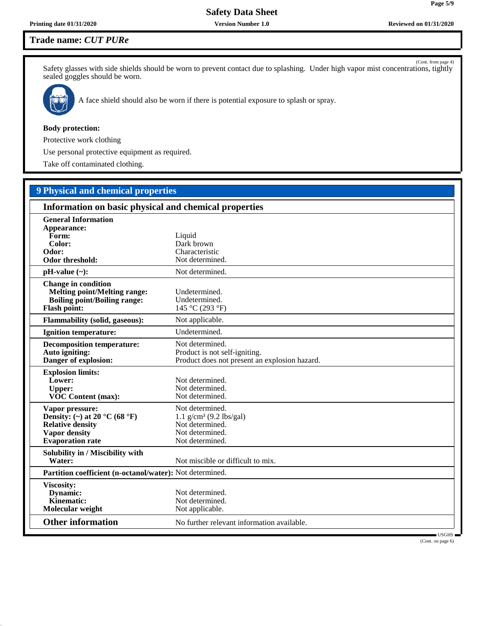**Page 5/9**

## **Trade name:** *CUT PURe*

(Cont. from page 4) Safety glasses with side shields should be worn to prevent contact due to splashing. Under high vapor mist concentrations, tightly sealed goggles should be worn.



50.0.11

A face shield should also be worn if there is potential exposure to splash or spray.

### **Body protection:**

Protective work clothing

Use personal protective equipment as required.

Take off contaminated clothing.

# **9 Physical and chemical properties**

| Information on basic physical and chemical properties                                                                                              |                                                                                                                   |  |
|----------------------------------------------------------------------------------------------------------------------------------------------------|-------------------------------------------------------------------------------------------------------------------|--|
| <b>General Information</b><br>Appearance:<br>Form:<br>Color:<br>Odor:<br><b>Odor threshold:</b>                                                    | Liquid<br>Dark brown<br>Characteristic<br>Not determined.                                                         |  |
| $pH-value (\sim):$                                                                                                                                 | Not determined.                                                                                                   |  |
| <b>Change in condition</b><br><b>Melting point/Melting range:</b><br><b>Boiling point/Boiling range:</b><br><b>Flash point:</b>                    | Undetermined.<br>Undetermined.<br>145 °C (293 °F)                                                                 |  |
| <b>Flammability (solid, gaseous):</b>                                                                                                              | Not applicable.                                                                                                   |  |
| <b>Ignition temperature:</b>                                                                                                                       | Undetermined.                                                                                                     |  |
| <b>Decomposition temperature:</b><br>Auto igniting:<br>Danger of explosion:                                                                        | Not determined.<br>Product is not self-igniting.<br>Product does not present an explosion hazard.                 |  |
| <b>Explosion limits:</b><br>Lower:<br><b>Upper:</b><br><b>VOC Content (max):</b>                                                                   | Not determined.<br>Not determined.<br>Not determined.                                                             |  |
| Vapor pressure:<br>Density: (~) at 20 $^{\circ}$ C (68 $^{\circ}$ F)<br><b>Relative density</b><br><b>Vapor density</b><br><b>Evaporation</b> rate | Not determined.<br>$1.1$ g/cm <sup>3</sup> (9.2 lbs/gal)<br>Not determined.<br>Not determined.<br>Not determined. |  |
| Solubility in / Miscibility with<br>Water:                                                                                                         | Not miscible or difficult to mix.                                                                                 |  |
| Partition coefficient (n-octanol/water): Not determined.                                                                                           |                                                                                                                   |  |
| Viscosity:<br>Dynamic:<br>Kinematic:<br>Molecular weight                                                                                           | Not determined.<br>Not determined.<br>Not applicable.                                                             |  |
| <b>Other information</b>                                                                                                                           | No further relevant information available.<br><b>TICCUC</b>                                                       |  |

USGHS (Cont. on page 6)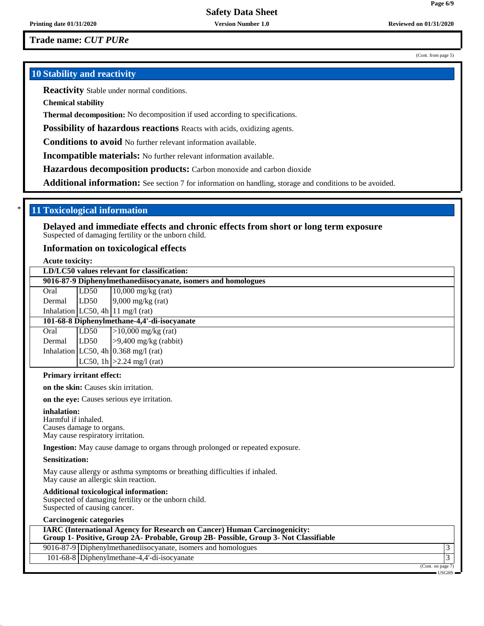**Trade name:** *CUT PURe*

## **10 Stability and reactivity**

**Reactivity** Stable under normal conditions.

**Chemical stability**

**Thermal decomposition:** No decomposition if used according to specifications.

**Possibility of hazardous reactions** Reacts with acids, oxidizing agents.

**Conditions to avoid** No further relevant information available.

**Incompatible materials:** No further relevant information available.

**Hazardous decomposition products:** Carbon monoxide and carbon dioxide

**Additional information:** See section 7 for information on handling, storage and conditions to be avoided.

### \* **11 Toxicological information**

**Delayed and immediate effects and chronic effects from short or long term exposure** Suspected of damaging fertility or the unborn child.

**Information on toxicological effects**

**Acute toxicity: LD/LC50 values relevant for classification: 9016-87-9 Diphenylmethanediisocyanate, isomers and homologues** Oral LD50 10,000 mg/kg (rat) Dermal  $|LD50$  9,000 mg/kg (rat) Inhalation  $|LC50, 4h|11$  mg/l (rat) **101-68-8 Diphenylmethane-4,4'-di-isocyanate** Oral LD50 >10,000 mg/kg (rat) Dermal LD50 >9,400 mg/kg (rabbit) Inhalation  $|LC50, 4h|0.368$  mg/l (rat) LC50, 1h  $|>2.24$  mg/l (rat) **Primary irritant effect:**

**on the skin:** Causes skin irritation.

**on the eye:** Causes serious eye irritation.

**inhalation:**

Harmful if inhaled. Causes damage to organs. May cause respiratory irritation.

**Ingestion:** May cause damage to organs through prolonged or repeated exposure.

### **Sensitization:**

50.0.11

May cause allergy or asthma symptoms or breathing difficulties if inhaled. May cause an allergic skin reaction.

### **Additional toxicological information:**

Suspected of damaging fertility or the unborn child. Suspected of causing cancer.

### **Carcinogenic categories**

| <b>IARC</b> (International Agency for Research on Cancer) Human Carcinogenicity:<br>Group 1- Positive, Group 2A- Probable, Group 2B- Possible, Group 3- Not Classifiable |                   |
|--------------------------------------------------------------------------------------------------------------------------------------------------------------------------|-------------------|
| 9016-87-9 Diphenylmethanedisocyanate, isomers and homologues                                                                                                             |                   |
| 101-68-8 Diphenylmethane-4,4'-di-isocyanate                                                                                                                              |                   |
|                                                                                                                                                                          | (Cont. on page 7) |

(Cont. from page 5)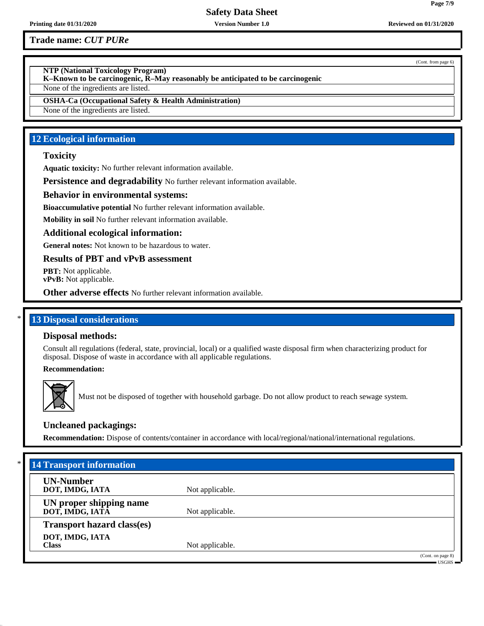**Printing date 01/31/2020 Version Number 1.0 Reviewed on 01/31/2020**

## **Trade name:** *CUT PURe*

**NTP (National Toxicology Program)**

**K–Known to be carcinogenic, R–May reasonably be anticipated to be carcinogenic**

None of the ingredients are listed.

**OSHA-Ca (Occupational Safety & Health Administration)**

None of the ingredients are listed.

## **12 Ecological information**

### **Toxicity**

**Aquatic toxicity:** No further relevant information available.

**Persistence and degradability** No further relevant information available.

### **Behavior in environmental systems:**

**Bioaccumulative potential** No further relevant information available.

**Mobility in soil** No further relevant information available.

### **Additional ecological information:**

**General notes:** Not known to be hazardous to water.

**Results of PBT and vPvB assessment**

**PBT:** Not applicable. **vPvB:** Not applicable.

**Other adverse effects** No further relevant information available.

## **13 Disposal considerations**

### **Disposal methods:**

Consult all regulations (federal, state, provincial, local) or a qualified waste disposal firm when characterizing product for disposal. Dispose of waste in accordance with all applicable regulations.

### **Recommendation:**



50.0.11

Must not be disposed of together with household garbage. Do not allow product to reach sewage system.

## **Uncleaned packagings:**

**Recommendation:** Dispose of contents/container in accordance with local/regional/national/international regulations.

| <b>14 Transport information</b>            |                 |                                                                           |
|--------------------------------------------|-----------------|---------------------------------------------------------------------------|
| <b>UN-Number</b><br>DOT, IMDG, IATA        | Not applicable. |                                                                           |
| UN proper shipping name<br>DOT, IMDG, IATĀ | Not applicable. |                                                                           |
| <b>Transport hazard class(es)</b>          |                 |                                                                           |
| DOT, IMDG, IATA<br><b>Class</b>            | Not applicable. |                                                                           |
|                                            |                 | (Cont. on page 8)<br>$\mathsf{\textcolor{red}{\text{USGHS}}}\blacksquare$ |

(Cont. from page 6)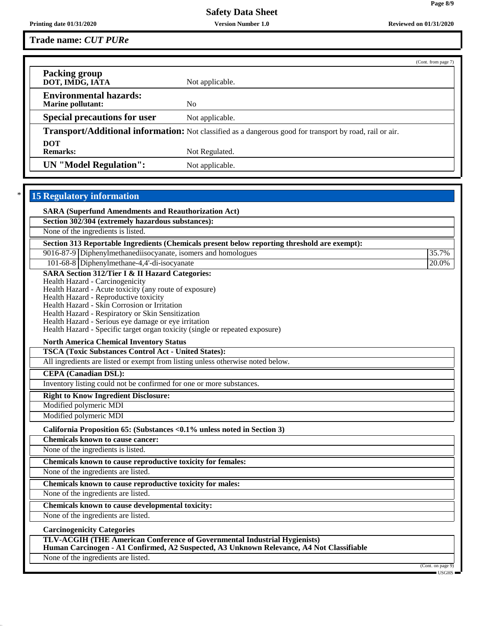**Printing date 01/31/2020 Version Number 1.0 Reviewed on 01/31/2020**

**Trade name:** *CUT PURe*

|                                                                                                          |                 | (Cont. from page 7) |  |
|----------------------------------------------------------------------------------------------------------|-----------------|---------------------|--|
| <b>Packing group</b><br>DOT, IMDG, IATA                                                                  | Not applicable. |                     |  |
| <b>Environmental hazards:</b><br><b>Marine pollutant:</b>                                                | No.             |                     |  |
| <b>Special precautions for user</b>                                                                      | Not applicable. |                     |  |
| Transport/Additional information: Not classified as a dangerous good for transport by road, rail or air. |                 |                     |  |
| <b>DOT</b><br><b>Remarks:</b>                                                                            | Not Regulated.  |                     |  |
| <b>UN</b> "Model Regulation":                                                                            | Not applicable. |                     |  |

# \* **15 Regulatory information**

50.0.11

| <b>SARA (Superfund Amendments and Reauthorization Act)</b>                                                                                                                                                                                                                                                                                                                                                                                    |                   |
|-----------------------------------------------------------------------------------------------------------------------------------------------------------------------------------------------------------------------------------------------------------------------------------------------------------------------------------------------------------------------------------------------------------------------------------------------|-------------------|
| Section 302/304 (extremely hazardous substances):                                                                                                                                                                                                                                                                                                                                                                                             |                   |
| None of the ingredients is listed.                                                                                                                                                                                                                                                                                                                                                                                                            |                   |
| Section 313 Reportable Ingredients (Chemicals present below reporting threshold are exempt):                                                                                                                                                                                                                                                                                                                                                  |                   |
| 9016-87-9 Diphenylmethanediisocyanate, isomers and homologues                                                                                                                                                                                                                                                                                                                                                                                 | 35.7%             |
| 101-68-8 Diphenylmethane-4,4'-di-isocyanate                                                                                                                                                                                                                                                                                                                                                                                                   | 20.0%             |
| <b>SARA Section 312/Tier I &amp; II Hazard Categories:</b><br>Health Hazard - Carcinogenicity<br>Health Hazard - Acute toxicity (any route of exposure)<br>Health Hazard - Reproductive toxicity<br>Health Hazard - Skin Corrosion or Irritation<br>Health Hazard - Respiratory or Skin Sensitization<br>Health Hazard - Serious eye damage or eye irritation<br>Health Hazard - Specific target organ toxicity (single or repeated exposure) |                   |
| <b>North America Chemical Inventory Status</b>                                                                                                                                                                                                                                                                                                                                                                                                |                   |
| <b>TSCA (Toxic Substances Control Act - United States):</b>                                                                                                                                                                                                                                                                                                                                                                                   |                   |
| All ingredients are listed or exempt from listing unless otherwise noted below.                                                                                                                                                                                                                                                                                                                                                               |                   |
| <b>CEPA</b> (Canadian DSL):                                                                                                                                                                                                                                                                                                                                                                                                                   |                   |
| Inventory listing could not be confirmed for one or more substances.                                                                                                                                                                                                                                                                                                                                                                          |                   |
| <b>Right to Know Ingredient Disclosure:</b>                                                                                                                                                                                                                                                                                                                                                                                                   |                   |
| Modified polymeric MDI                                                                                                                                                                                                                                                                                                                                                                                                                        |                   |
| <b>Modified polymeric MDI</b>                                                                                                                                                                                                                                                                                                                                                                                                                 |                   |
| California Proposition 65: (Substances < 0.1% unless noted in Section 3)                                                                                                                                                                                                                                                                                                                                                                      |                   |
| <b>Chemicals known to cause cancer:</b>                                                                                                                                                                                                                                                                                                                                                                                                       |                   |
| None of the ingredients is listed.                                                                                                                                                                                                                                                                                                                                                                                                            |                   |
| Chemicals known to cause reproductive toxicity for females:                                                                                                                                                                                                                                                                                                                                                                                   |                   |
| None of the ingredients are listed.                                                                                                                                                                                                                                                                                                                                                                                                           |                   |
| Chemicals known to cause reproductive toxicity for males:                                                                                                                                                                                                                                                                                                                                                                                     |                   |
| None of the ingredients are listed.                                                                                                                                                                                                                                                                                                                                                                                                           |                   |
| Chemicals known to cause developmental toxicity:                                                                                                                                                                                                                                                                                                                                                                                              |                   |
| None of the ingredients are listed.                                                                                                                                                                                                                                                                                                                                                                                                           |                   |
| <b>Carcinogenicity Categories</b>                                                                                                                                                                                                                                                                                                                                                                                                             |                   |
| TLV-ACGIH (THE American Conference of Governmental Industrial Hygienists)<br>Human Carcinogen - A1 Confirmed, A2 Suspected, A3 Unknown Relevance, A4 Not Classifiable                                                                                                                                                                                                                                                                         |                   |
| None of the ingredients are listed.                                                                                                                                                                                                                                                                                                                                                                                                           |                   |
|                                                                                                                                                                                                                                                                                                                                                                                                                                               | (Cont. on page 9) |